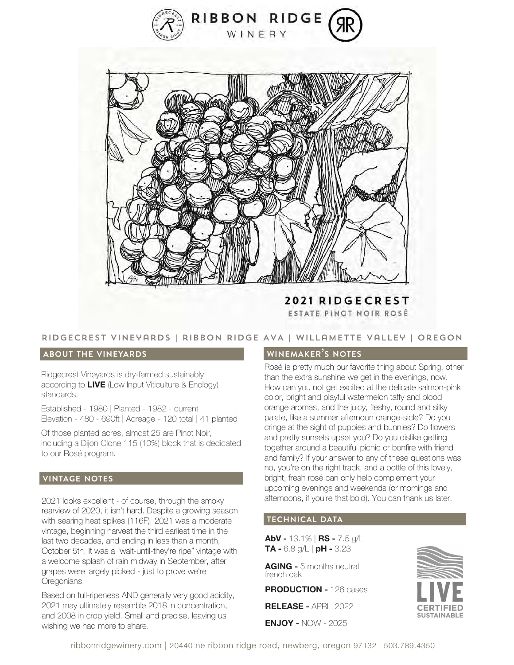



**2021 RIDGECREST** ESTATE PINOT NOIR ROSÉ

# Ridgecrest vineyards | ribbon ridge AVA | willamette Valley | Oregon

#### **about the vineyards**

Ridgecrest Vineyards is dry-farmed sustainably according to **LIVE** (Low Input Viticulture & Enology) standards.

Established - 1980 | Planted - 1982 - current Elevation - 480 - 690ft | Acreage - 120 total | 41 planted

Of those planted acres, almost 25 are Pinot Noir, including a Dijon Clone 115 (10%) block that is dedicated to our Rosé program.

### **vintage notes**

2021 looks excellent - of course, through the smoky rearview of 2020, it isn't hard. Despite a growing season with searing heat spikes (116F), 2021 was a moderate vintage, beginning harvest the third earliest time in the last two decades, and ending in less than a month, October 5th. It was a "wait-until-they're ripe" vintage with a welcome splash of rain midway in September, after grapes were largely picked - just to prove we're Oregonians.

Based on full-ripeness AND generally very good acidity, 2021 may ultimately resemble 2018 in concentration, and 2008 in crop yield. Small and precise, leaving us wishing we had more to share.

#### **winemaker's notes**

Rosé is pretty much our favorite thing about Spring, other than the extra sunshine we get in the evenings, now. How can you not get excited at the delicate salmon-pink color, bright and playful watermelon taffy and blood orange aromas, and the juicy, fleshy, round and silky palate, like a summer afternoon orange-sicle? Do you cringe at the sight of puppies and bunnies? Do flowers and pretty sunsets upset you? Do you dislike getting together around a beautiful picnic or bonfire with friend and family? If your answer to any of these questions was no, you're on the right track, and a bottle of this lovely, bright, fresh rosé can only help complement your upcoming evenings and weekends (or mornings and afternoons, if you're that bold). You can thank us later.

# **technical data**

**AbV -** 13.1% | **RS -** 7.5 g/L **TA -** 6.8 g/L | **pH -** 3.23

**AGING -** 5 months neutral french oak

**PRODUCTION -** 126 cases

**RELEASE -** APRIL 2022

**ENJOY -** NOW - 2025